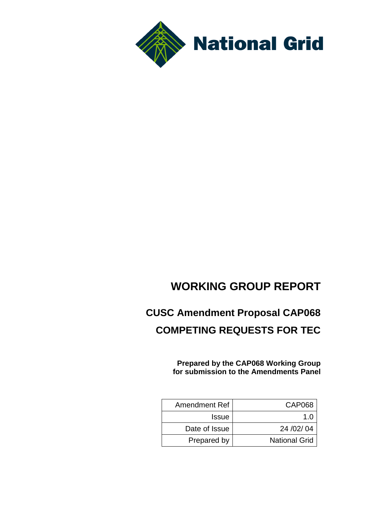

# **WORKING GROUP REPORT**

# **CUSC Amendment Proposal CAP068 COMPETING REQUESTS FOR TEC**

**Prepared by the CAP068 Working Group for submission to the Amendments Panel**

| <b>Amendment Ref</b> | CAP068               |
|----------------------|----------------------|
| <b>Issue</b>         | 1 በ                  |
| Date of Issue        | 24 / 02 / 04         |
| Prepared by          | <b>National Grid</b> |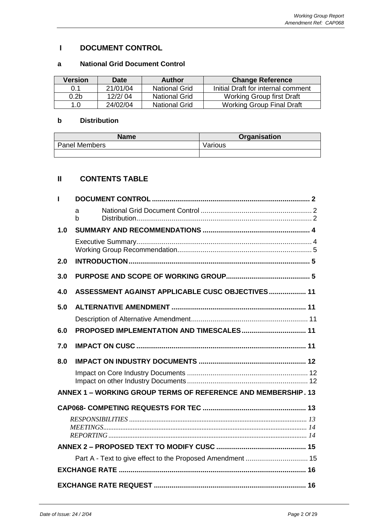## **I DOCUMENT CONTROL**

## **a National Grid Document Control**

| Version          | <b>Date</b> | Author               | <b>Change Reference</b>            |
|------------------|-------------|----------------------|------------------------------------|
| 0.1              | 21/01/04    | <b>National Grid</b> | Initial Draft for internal comment |
| 0.2 <sub>b</sub> | 12/2/04     | <b>National Grid</b> | <b>Working Group first Draft</b>   |
| 1.0              | 24/02/04    | <b>National Grid</b> | <b>Working Group Final Draft</b>   |

## **b Distribution**

| <b>Name</b>          | <b>Organisation</b> |  |  |  |
|----------------------|---------------------|--|--|--|
| <b>Panel Members</b> | Various             |  |  |  |
|                      |                     |  |  |  |

# **II CONTENTS TABLE**

|     | a<br>$\mathbf b$                                              |  |
|-----|---------------------------------------------------------------|--|
| 1.0 |                                                               |  |
|     |                                                               |  |
| 2.0 |                                                               |  |
| 3.0 |                                                               |  |
| 4.0 | ASSESSMENT AGAINST APPLICABLE CUSC OBJECTIVES 11              |  |
| 5.0 |                                                               |  |
|     |                                                               |  |
| 6.0 | PROPOSED IMPLEMENTATION AND TIMESCALES 11                     |  |
| 7.0 |                                                               |  |
| 8.0 |                                                               |  |
|     |                                                               |  |
|     | ANNEX 1 - WORKING GROUP TERMS OF REFERENCE AND MEMBERSHIP. 13 |  |
|     |                                                               |  |
|     |                                                               |  |
|     |                                                               |  |
|     |                                                               |  |
|     | Part A - Text to give effect to the Proposed Amendment  15    |  |
|     |                                                               |  |
|     |                                                               |  |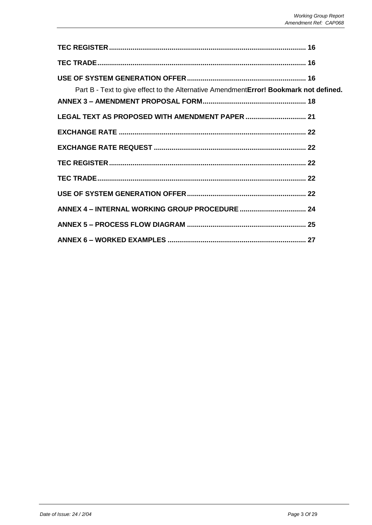| Part B - Text to give effect to the Alternative AmendmentError! Bookmark not defined. |  |
|---------------------------------------------------------------------------------------|--|
| LEGAL TEXT AS PROPOSED WITH AMENDMENT PAPER  21                                       |  |
|                                                                                       |  |
|                                                                                       |  |
|                                                                                       |  |
|                                                                                       |  |
|                                                                                       |  |
|                                                                                       |  |
|                                                                                       |  |
|                                                                                       |  |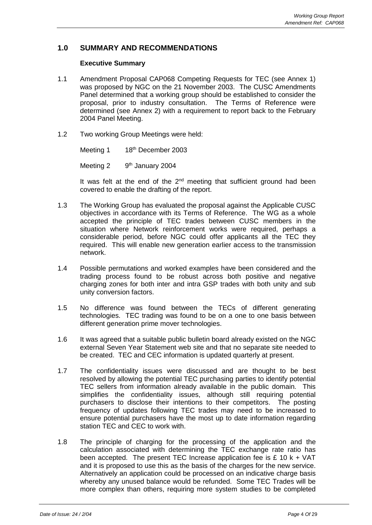## **1.0 SUMMARY AND RECOMMENDATIONS**

#### **Executive Summary**

- 1.1 Amendment Proposal CAP068 Competing Requests for TEC (see Annex 1) was proposed by NGC on the 21 November 2003. The CUSC Amendments Panel determined that a working group should be established to consider the proposal, prior to industry consultation. The Terms of Reference were determined (see Annex 2) with a requirement to report back to the February 2004 Panel Meeting.
- 1.2 Two working Group Meetings were held:

Meeting 1 18th December 2003 Meeting 2 9<sup>th</sup> January 2004

It was felt at the end of the  $2<sup>nd</sup>$  meeting that sufficient ground had been covered to enable the drafting of the report.

- 1.3 The Working Group has evaluated the proposal against the Applicable CUSC objectives in accordance with its Terms of Reference. The WG as a whole accepted the principle of TEC trades between CUSC members in the situation where Network reinforcement works were required, perhaps a considerable period, before NGC could offer applicants all the TEC they required. This will enable new generation earlier access to the transmission network.
- 1.4 Possible permutations and worked examples have been considered and the trading process found to be robust across both positive and negative charging zones for both inter and intra GSP trades with both unity and sub unity conversion factors.
- 1.5 No difference was found between the TECs of different generating technologies. TEC trading was found to be on a one to one basis between different generation prime mover technologies.
- 1.6 It was agreed that a suitable public bulletin board already existed on the NGC external Seven Year Statement web site and that no separate site needed to be created. TEC and CEC information is updated quarterly at present.
- 1.7 The confidentiality issues were discussed and are thought to be best resolved by allowing the potential TEC purchasing parties to identify potential TEC sellers from information already available in the public domain. This simplifies the confidentiality issues, although still requiring potential purchasers to disclose their intentions to their competitors. The posting frequency of updates following TEC trades may need to be increased to ensure potential purchasers have the most up to date information regarding station TEC and CEC to work with.
- 1.8 The principle of charging for the processing of the application and the calculation associated with determining the TEC exchange rate ratio has been accepted. The present TEC Increase application fee is  $£ 10 k + VAT$ and it is proposed to use this as the basis of the charges for the new service. Alternatively an application could be processed on an indicative charge basis whereby any unused balance would be refunded. Some TEC Trades will be more complex than others, requiring more system studies to be completed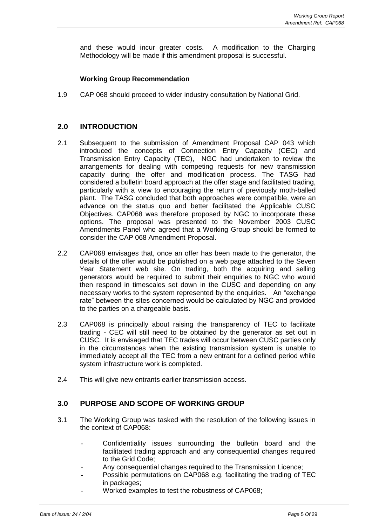and these would incur greater costs. A modification to the Charging Methodology will be made if this amendment proposal is successful.

## **Working Group Recommendation**

1.9 CAP 068 should proceed to wider industry consultation by National Grid.

## **2.0 INTRODUCTION**

- 2.1 Subsequent to the submission of Amendment Proposal CAP 043 which introduced the concepts of Connection Entry Capacity (CEC) and Transmission Entry Capacity (TEC), NGC had undertaken to review the arrangements for dealing with competing requests for new transmission capacity during the offer and modification process. The TASG had considered a bulletin board approach at the offer stage and facilitated trading, particularly with a view to encouraging the return of previously moth-balled plant. The TASG concluded that both approaches were compatible, were an advance on the status quo and better facilitated the Applicable CUSC Objectives. CAP068 was therefore proposed by NGC to incorporate these options. The proposal was presented to the November 2003 CUSC Amendments Panel who agreed that a Working Group should be formed to consider the CAP 068 Amendment Proposal.
- 2.2 CAP068 envisages that, once an offer has been made to the generator, the details of the offer would be published on a web page attached to the Seven Year Statement web site. On trading, both the acquiring and selling generators would be required to submit their enquiries to NGC who would then respond in timescales set down in the CUSC and depending on any necessary works to the system represented by the enquiries. An "exchange rate" between the sites concerned would be calculated by NGC and provided to the parties on a chargeable basis.
- 2.3 CAP068 is principally about raising the transparency of TEC to facilitate trading - CEC will still need to be obtained by the generator as set out in CUSC. It is envisaged that TEC trades will occur between CUSC parties only in the circumstances when the existing transmission system is unable to immediately accept all the TEC from a new entrant for a defined period while system infrastructure work is completed.
- 2.4 This will give new entrants earlier transmission access.

## **3.0 PURPOSE AND SCOPE OF WORKING GROUP**

- 3.1 The Working Group was tasked with the resolution of the following issues in the context of CAP068:
	- Confidentiality issues surrounding the bulletin board and the facilitated trading approach and any consequential changes required to the Grid Code;
	- Any consequential changes required to the Transmission Licence;
	- Possible permutations on CAP068 e.g. facilitating the trading of TEC in packages;
		- Worked examples to test the robustness of CAP068;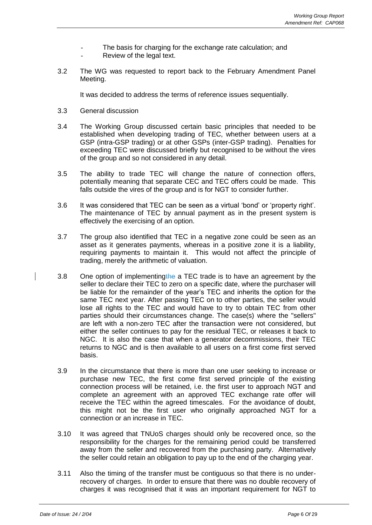- The basis for charging for the exchange rate calculation; and
- Review of the legal text.
- 3.2 The WG was requested to report back to the February Amendment Panel Meeting.

It was decided to address the terms of reference issues sequentially.

- 3.3 General discussion
- 3.4 The Working Group discussed certain basic principles that needed to be established when developing trading of TEC, whether between users at a GSP (intra-GSP trading) or at other GSPs (inter-GSP trading). Penalties for exceeding TEC were discussed briefly but recognised to be without the vires of the group and so not considered in any detail.
- 3.5 The ability to trade TEC will change the nature of connection offers, potentially meaning that separate CEC and TEC offers could be made. This falls outside the vires of the group and is for NGT to consider further.
- 3.6 It was considered that TEC can be seen as a virtual 'bond' or 'property right'. The maintenance of TEC by annual payment as in the present system is effectively the exercising of an option.
- 3.7 The group also identified that TEC in a negative zone could be seen as an asset as it generates payments, whereas in a positive zone it is a liability, requiring payments to maintain it. This would not affect the principle of trading, merely the arithmetic of valuation.
- 3.8 One option of implementingthe a TEC trade is to have an agreement by the seller to declare their TEC to zero on a specific date, where the purchaser will be liable for the remainder of the year's TEC and inherits the option for the same TEC next year. After passing TEC on to other parties, the seller would lose all rights to the TEC and would have to try to obtain TEC from other parties should their circumstances change. The case(s) where the "sellers" are left with a non-zero TEC after the transaction were not considered, but either the seller continues to pay for the residual TEC, or releases it back to NGC. It is also the case that when a generator decommissions, their TEC returns to NGC and is then available to all users on a first come first served basis.
- 3.9 In the circumstance that there is more than one user seeking to increase or purchase new TEC, the first come first served principle of the existing connection process will be retained, i.e. the first user to approach NGT and complete an agreement with an approved TEC exchange rate offer will receive the TEC within the agreed timescales. For the avoidance of doubt, this might not be the first user who originally approached NGT for a connection or an increase in TEC.
- 3.10 It was agreed that TNUoS charges should only be recovered once, so the responsibility for the charges for the remaining period could be transferred away from the seller and recovered from the purchasing party. Alternatively the seller could retain an obligation to pay up to the end of the charging year.
- 3.11 Also the timing of the transfer must be contiguous so that there is no underrecovery of charges. In order to ensure that there was no double recovery of charges it was recognised that it was an important requirement for NGT to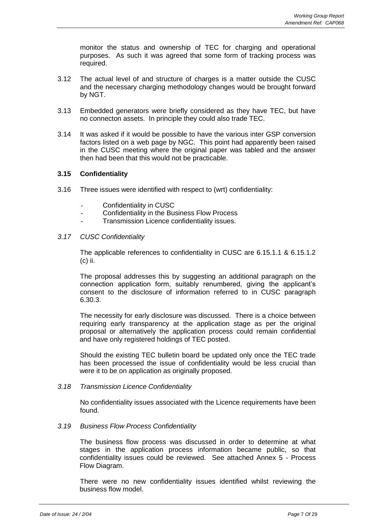monitor the status and ownership of TEC for charging and operational purposes. As such it was agreed that some form of tracking process was required.

- 3.12 The actual level of and structure of charges is a matter outside the CUSC and the necessary charging methodology changes would be brought forward by NGT.
- 3.13 Embedded generators were briefly considered as they have TEC, but have no connecton assets. In principle they could also trade TEC.
- 3.14 It was asked if it would be possible to have the various inter GSP conversion factors listed on a web page by NGC. This point had apparently been raised in the CUSC meeting where the original paper was tabled and the answer then had been that this would not be practicable.

## **3.15 Confidentiality**

- 3.16 Three issues were identified with respect to (wrt) confidentiality:
	- Confidentiality in CUSC
	- Confidentiality in the Business Flow Process
	- Transmission Licence confidentiality issues.

#### *3.17 CUSC Confidentiality*

The applicable references to confidentiality in CUSC are 6.15.1.1 & 6.15.1.2 (c) ii.

The proposal addresses this by suggesting an additional paragraph on the connection application form, suitably renumbered, giving the applicant's consent to the disclosure of information referred to in CUSC paragraph 6.30.3.

The necessity for early disclosure was discussed. There is a choice between requiring early transparency at the application stage as per the original proposal or alternatively the application process could remain confidential and have only registered holdings of TEC posted.

Should the existing TEC bulletin board be updated only once the TEC trade has been processed the issue of confidentiality would be less crucial than were it to be on application as originally proposed.

#### *3.18 Transmission Licence Confidentiality*

No confidentiality issues associated with the Licence requirements have been found.

#### *3.19 Business Flow Process Confidentiality*

The business flow process was discussed in order to determine at what stages in the application process information became public, so that confidentiality issues could be reviewed. See attached Annex 5 - Process Flow Diagram.

There were no new confidentiality issues identified whilst reviewing the business flow model.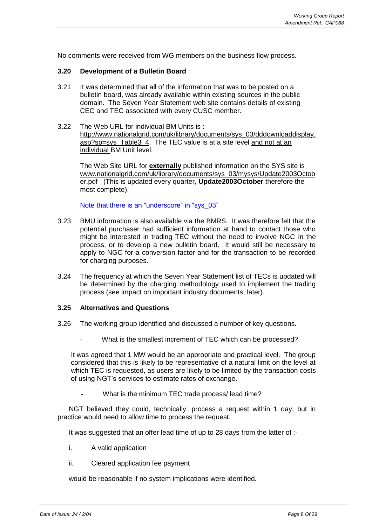No comments were received from WG members on the business flow process.

#### **3.20 Development of a Bulletin Board**

- 3.21 It was determined that all of the information that was to be posted on a bulletin board, was already available within existing sources in the public domain. The Seven Year Statement web site contains details of existing CEC and TEC associated with every CUSC member.
- 3.22 The Web URL for individual BM Units is : [http://www.nationalgrid.com/uk/library/documents/sys\\_03/dddownloaddisplay.](http://www.nationalgrid.com/uk/library/documents/sys_03/dddownloaddisplay.asp?sp=sys_Table3_4) [asp?sp=sys\\_Table3\\_4.](http://www.nationalgrid.com/uk/library/documents/sys_03/dddownloaddisplay.asp?sp=sys_Table3_4) The TEC value is at a site level and not at an individual BM Unit level.

The Web Site URL for **externally** published information on the SYS site is [www.nationalgrid.com/uk/library/documents/sys\\_03/mysys/Update2003Octob](http://www.nationalgrid.com/uk/library/documents/sys_03/mysys/Update2003October.pdf) [er.pdf](http://www.nationalgrid.com/uk/library/documents/sys_03/mysys/Update2003October.pdf) (This is updated every quarter, **Update2003October** therefore the most complete).

Note that there is an "underscore" in "sys\_03"

- 3.23 BMU information is also available via the BMRS. It was therefore felt that the potential purchaser had sufficient information at hand to contact those who might be interested in trading TEC without the need to involve NGC in the process, or to develop a new bulletin board. It would still be necessary to apply to NGC for a conversion factor and for the transaction to be recorded for charging purposes.
- 3.24 The frequency at which the Seven Year Statement list of TECs is updated will be determined by the charging methodology used to implement the trading process (see impact on important industry documents, later).

#### **3.25 Alternatives and Questions**

#### 3.26 The working group identified and discussed a number of key questions.

What is the smallest increment of TEC which can be processed?

It was agreed that 1 MW would be an appropriate and practical level. The group considered that this is likely to be representative of a natural limit on the level at which TEC is requested, as users are likely to be limited by the transaction costs of using NGT's services to estimate rates of exchange.

What is the minimum TEC trade process/ lead time?

NGT believed they could, technically, process a request within 1 day, but in practice would need to allow time to process the request.

It was suggested that an offer lead time of up to 28 days from the latter of :-

- i. A valid application
- ii. Cleared application fee payment

would be reasonable if no system implications were identified.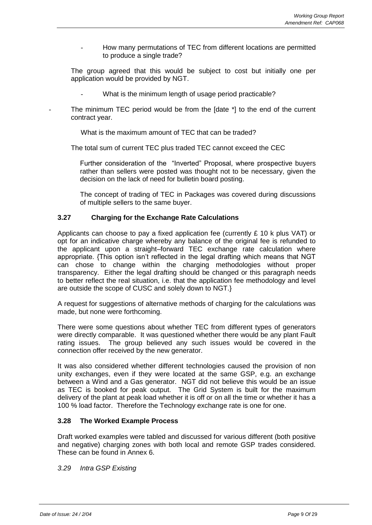How many permutations of TEC from different locations are permitted to produce a single trade?

The group agreed that this would be subject to cost but initially one per application would be provided by NGT.

- What is the minimum length of usage period practicable?
- The minimum TEC period would be from the [date \*] to the end of the current contract year.

What is the maximum amount of TEC that can be traded?

The total sum of current TEC plus traded TEC cannot exceed the CEC

Further consideration of the "Inverted" Proposal, where prospective buyers rather than sellers were posted was thought not to be necessary, given the decision on the lack of need for bulletin board posting.

The concept of trading of TEC in Packages was covered during discussions of multiple sellers to the same buyer.

## **3.27 Charging for the Exchange Rate Calculations**

Applicants can choose to pay a fixed application fee (currently  $E$  10 k plus VAT) or opt for an indicative charge whereby any balance of the original fee is refunded to the applicant upon a straight–forward TEC exchange rate calculation where appropriate. {This option isn't reflected in the legal drafting which means that NGT can chose to change within the charging methodologies without proper transparency. Either the legal drafting should be changed or this paragraph needs to better reflect the real situation, i.e. that the application fee methodology and level are outside the scope of CUSC and solely down to NGT.}

A request for suggestions of alternative methods of charging for the calculations was made, but none were forthcoming.

There were some questions about whether TEC from different types of generators were directly comparable. It was questioned whether there would be any plant Fault rating issues. The group believed any such issues would be covered in the connection offer received by the new generator.

It was also considered whether different technologies caused the provision of non unity exchanges, even if they were located at the same GSP, e.g. an exchange between a Wind and a Gas generator. NGT did not believe this would be an issue as TEC is booked for peak output. The Grid System is built for the maximum delivery of the plant at peak load whether it is off or on all the time or whether it has a 100 % load factor. Therefore the Technology exchange rate is one for one.

## **3.28 The Worked Example Process**

Draft worked examples were tabled and discussed for various different (both positive and negative) charging zones with both local and remote GSP trades considered. These can be found in Annex 6.

*3.29 Intra GSP Existing*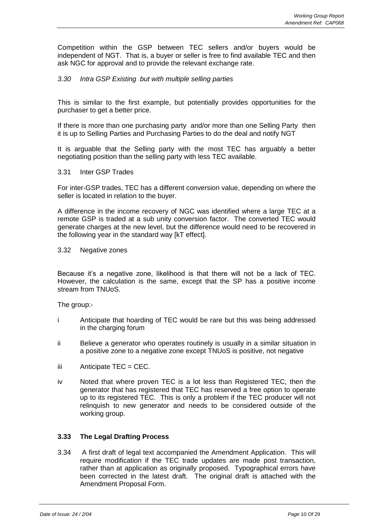Competition within the GSP between TEC sellers and/or buyers would be independent of NGT. That is, a buyer or seller is free to find available TEC and then ask NGC for approval and to provide the relevant exchange rate.

## *3.30 Intra GSP Existing but with multiple selling parties*

This is similar to the first example, but potentially provides opportunities for the purchaser to get a better price.

If there is more than one purchasing party and/or more than one Selling Party then it is up to Selling Parties and Purchasing Parties to do the deal and notify NGT

It is arguable that the Selling party with the most TEC has arguably a better negotiating position than the selling party with less TEC available.

#### 3.31 Inter GSP Trades

For inter-GSP trades, TEC has a different conversion value, depending on where the seller is located in relation to the buyer.

A difference in the income recovery of NGC was identified where a large TEC at a remote GSP is traded at a sub unity conversion factor. The converted TEC would generate charges at the new level, but the difference would need to be recovered in the following year in the standard way [kT effect].

#### 3.32 Negative zones

Because it's a negative zone, likelihood is that there will not be a lack of TEC. However, the calculation is the same, except that the SP has a positive income stream from TNUoS.

The group:-

- i Anticipate that hoarding of TEC would be rare but this was being addressed in the charging forum
- ii Believe a generator who operates routinely is usually in a similar situation in a positive zone to a negative zone except TNUoS is positive, not negative
- $iii$  Anticipate TEC = CEC.
- iv Noted that where proven TEC is a lot less than Registered TEC, then the generator that has registered that TEC has reserved a free option to operate up to its registered TEC. This is only a problem if the TEC producer will not relinquish to new generator and needs to be considered outside of the working group.

## **3.33 The Legal Drafting Process**

3.34 A first draft of legal text accompanied the Amendment Application. This will require modification if the TEC trade updates are made post transaction, rather than at application as originally proposed. Typographical errors have been corrected in the latest draft. The original draft is attached with the Amendment Proposal Form.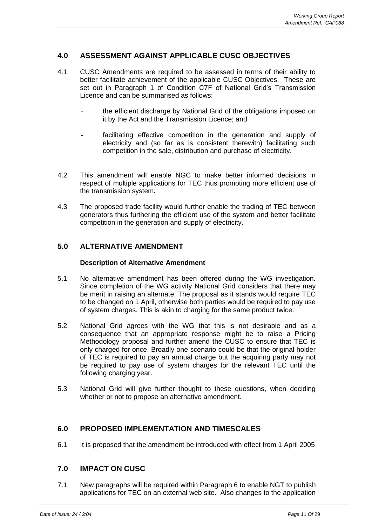## **4.0 ASSESSMENT AGAINST APPLICABLE CUSC OBJECTIVES**

- 4.1 CUSC Amendments are required to be assessed in terms of their ability to better facilitate achievement of the applicable CUSC Objectives. These are set out in Paragraph 1 of Condition C7F of National Grid's Transmission Licence and can be summarised as follows:
	- the efficient discharge by National Grid of the obligations imposed on it by the Act and the Transmission Licence; and
	- facilitating effective competition in the generation and supply of electricity and (so far as is consistent therewith) facilitating such competition in the sale, distribution and purchase of electricity.
- 4.2 This amendment will enable NGC to make better informed decisions in respect of multiple applications for TEC thus promoting more efficient use of the transmission system**.**
- 4.3 The proposed trade facility would further enable the trading of TEC between generators thus furthering the efficient use of the system and better facilitate competition in the generation and supply of electricity.

## **5.0 ALTERNATIVE AMENDMENT**

#### **Description of Alternative Amendment**

- 5.1 No alternative amendment has been offered during the WG investigation. Since completion of the WG activity National Grid considers that there may be merit in raising an alternate. The proposal as it stands would require TEC to be changed on 1 April, otherwise both parties would be required to pay use of system charges. This is akin to charging for the same product twice.
- 5.2 National Grid agrees with the WG that this is not desirable and as a consequence that an appropriate response might be to raise a Pricing Methodology proposal and further amend the CUSC to ensure that TEC is only charged for once. Broadly one scenario could be that the original holder of TEC is required to pay an annual charge but the acquiring party may not be required to pay use of system charges for the relevant TEC until the following charging year.
- 5.3 National Grid will give further thought to these questions, when deciding whether or not to propose an alternative amendment.

## **6.0 PROPOSED IMPLEMENTATION AND TIMESCALES**

6.1 It is proposed that the amendment be introduced with effect from 1 April 2005

## **7.0 IMPACT ON CUSC**

7.1 New paragraphs will be required within Paragraph 6 to enable NGT to publish applications for TEC on an external web site. Also changes to the application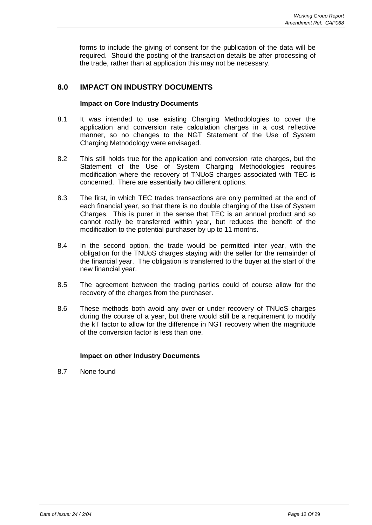forms to include the giving of consent for the publication of the data will be required. Should the posting of the transaction details be after processing of the trade, rather than at application this may not be necessary.

## **8.0 IMPACT ON INDUSTRY DOCUMENTS**

#### **Impact on Core Industry Documents**

- 8.1 It was intended to use existing Charging Methodologies to cover the application and conversion rate calculation charges in a cost reflective manner, so no changes to the NGT Statement of the Use of System Charging Methodology were envisaged.
- 8.2 This still holds true for the application and conversion rate charges, but the Statement of the Use of System Charging Methodologies requires modification where the recovery of TNUoS charges associated with TEC is concerned. There are essentially two different options.
- 8.3 The first, in which TEC trades transactions are only permitted at the end of each financial year, so that there is no double charging of the Use of System Charges. This is purer in the sense that TEC is an annual product and so cannot really be transferred within year, but reduces the benefit of the modification to the potential purchaser by up to 11 months.
- 8.4 In the second option, the trade would be permitted inter year, with the obligation for the TNUoS charges staying with the seller for the remainder of the financial year. The obligation is transferred to the buyer at the start of the new financial year.
- 8.5 The agreement between the trading parties could of course allow for the recovery of the charges from the purchaser.
- 8.6 These methods both avoid any over or under recovery of TNUoS charges during the course of a year, but there would still be a requirement to modify the kT factor to allow for the difference in NGT recovery when the magnitude of the conversion factor is less than one.

## **Impact on other Industry Documents**

8.7 None found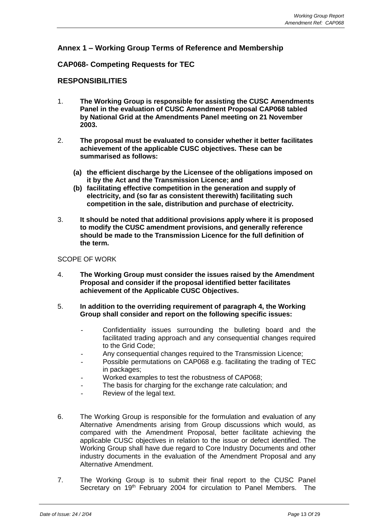## **Annex 1 – Working Group Terms of Reference and Membership**

## **CAP068- Competing Requests for TEC**

## **RESPONSIBILITIES**

- 1. **The Working Group is responsible for assisting the CUSC Amendments Panel in the evaluation of CUSC Amendment Proposal CAP068 tabled by National Grid at the Amendments Panel meeting on 21 November 2003.**
- 2. **The proposal must be evaluated to consider whether it better facilitates achievement of the applicable CUSC objectives. These can be summarised as follows:**
	- **(a) the efficient discharge by the Licensee of the obligations imposed on it by the Act and the Transmission Licence; and**
	- **(b) facilitating effective competition in the generation and supply of electricity, and (so far as consistent therewith) facilitating such competition in the sale, distribution and purchase of electricity.**
- 3. **It should be noted that additional provisions apply where it is proposed to modify the CUSC amendment provisions, and generally reference should be made to the Transmission Licence for the full definition of the term.**

#### SCOPE OF WORK

- 4. **The Working Group must consider the issues raised by the Amendment Proposal and consider if the proposal identified better facilitates achievement of the Applicable CUSC Objectives.**
- 5. **In addition to the overriding requirement of paragraph 4, the Working Group shall consider and report on the following specific issues:**
	- Confidentiality issues surrounding the bulleting board and the facilitated trading approach and any consequential changes required to the Grid Code;
	- Any consequential changes required to the Transmission Licence;
	- Possible permutations on CAP068 e.g. facilitating the trading of TEC in packages;
	- Worked examples to test the robustness of CAP068;
	- The basis for charging for the exchange rate calculation; and
	- Review of the legal text.
- 6. The Working Group is responsible for the formulation and evaluation of any Alternative Amendments arising from Group discussions which would, as compared with the Amendment Proposal, better facilitate achieving the applicable CUSC objectives in relation to the issue or defect identified. The Working Group shall have due regard to Core Industry Documents and other industry documents in the evaluation of the Amendment Proposal and any Alternative Amendment.
- 7. The Working Group is to submit their final report to the CUSC Panel Secretary on 19<sup>th</sup> February 2004 for circulation to Panel Members. The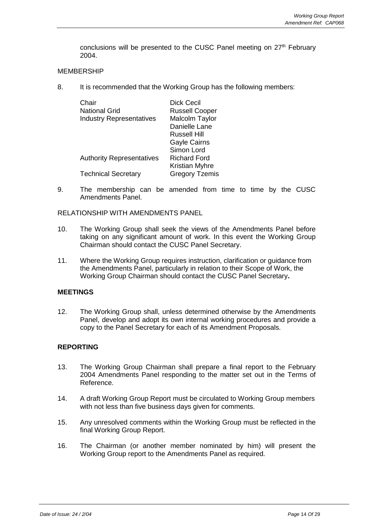conclusions will be presented to the CUSC Panel meeting on 27<sup>th</sup> February 2004.

#### MEMBERSHIP

8. It is recommended that the Working Group has the following members:

| Chair                            | Dick Cecil            |
|----------------------------------|-----------------------|
| <b>National Grid</b>             | <b>Russell Cooper</b> |
| <b>Industry Representatives</b>  | Malcolm Taylor        |
|                                  | Danielle Lane         |
|                                  | Russell Hill          |
|                                  | <b>Gayle Cairns</b>   |
|                                  | Simon Lord            |
| <b>Authority Representatives</b> | Richard Ford          |
|                                  | <b>Kristian Myhre</b> |
| <b>Technical Secretary</b>       | <b>Gregory Tzemis</b> |

9. The membership can be amended from time to time by the CUSC Amendments Panel.

#### RELATIONSHIP WITH AMENDMENTS PANEL

- 10. The Working Group shall seek the views of the Amendments Panel before taking on any significant amount of work. In this event the Working Group Chairman should contact the CUSC Panel Secretary.
- 11. Where the Working Group requires instruction, clarification or guidance from the Amendments Panel, particularly in relation to their Scope of Work, the Working Group Chairman should contact the CUSC Panel Secretary**.**

#### **MEETINGS**

12. The Working Group shall, unless determined otherwise by the Amendments Panel, develop and adopt its own internal working procedures and provide a copy to the Panel Secretary for each of its Amendment Proposals.

## **REPORTING**

- 13. The Working Group Chairman shall prepare a final report to the February 2004 Amendments Panel responding to the matter set out in the Terms of Reference.
- 14. A draft Working Group Report must be circulated to Working Group members with not less than five business days given for comments.
- 15. Any unresolved comments within the Working Group must be reflected in the final Working Group Report.
- 16. The Chairman (or another member nominated by him) will present the Working Group report to the Amendments Panel as required.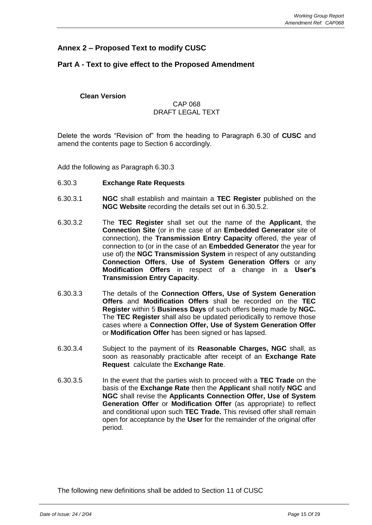## **Annex 2 – Proposed Text to modify CUSC**

## **Part A - Text to give effect to the Proposed Amendment**

**Clean Version**

#### CAP 068 DRAFT LEGAL TEXT

Delete the words "Revision of" from the heading to Paragraph 6.30 of **CUSC** and amend the contents page to Section 6 accordingly.

Add the following as Paragraph 6.30.3

- 6.30.3 **Exchange Rate Requests**
- 6.30.3.1 **NGC** shall establish and maintain a **TEC Register** published on the **NGC Website** recording the details set out in 6.30.5.2.
- 6.30.3.2 The **TEC Register** shall set out the name of the **Applicant**, the **Connection Site** (or in the case of an **Embedded Generator** site of connection), the **Transmission Entry Capacity** offered, the year of connection to (or in the case of an **Embedded Generator** the year for use of) the **NGC Transmission System** in respect of any outstanding **Connection Offers**, **Use of System Generation Offers** or any **Modification Offers** in respect of a change in a **User's Transmission Entry Capacity**.
- 6.30.3.3 The details of the **Connection Offers, Use of System Generation Offers** and **Modification Offers** shall be recorded on the **TEC Register** within 5 **Business Days** of such offers being made by **NGC.**  The **TEC Register** shall also be updated periodically to remove those cases where a **Connection Offer, Use of System Generation Offer**  or **Modification Offer** has been signed or has lapsed.
- 6.30.3.4 Subject to the payment of its **Reasonable Charges, NGC** shall, as soon as reasonably practicable after receipt of an **Exchange Rate Request** calculate the **Exchange Rate**.
- 6.30.3.5 In the event that the parties wish to proceed with a **TEC Trade** on the basis of the **Exchange Rate** then the **Applicant** shall notify **NGC** and **NGC** shall revise the **Applicants Connection Offer, Use of System Generation Offer** or **Modification Offer** (as appropriate) to reflect and conditional upon such **TEC Trade.** This revised offer shall remain open for acceptance by the **User** for the remainder of the original offer period.

The following new definitions shall be added to Section 11 of CUSC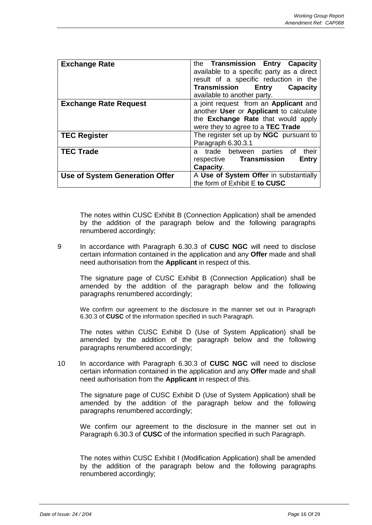| <b>Exchange Rate</b>                  | the Transmission Entry Capacity<br>available to a specific party as a direct<br>result of a specific reduction in the                                      |
|---------------------------------------|------------------------------------------------------------------------------------------------------------------------------------------------------------|
|                                       | <b>Transmission Entry</b><br><b>Capacity</b><br>available to another party.                                                                                |
| <b>Exchange Rate Request</b>          | a joint request from an Applicant and<br>another User or Applicant to calculate<br>the Exchange Rate that would apply<br>were they to agree to a TEC Trade |
| <b>TEC Register</b>                   | The register set up by <b>NGC</b> pursuant to<br>Paragraph 6.30.3.1                                                                                        |
| <b>TEC Trade</b>                      | their<br>trade between<br>parties of<br>a<br>respective Transmission<br><b>Entry</b><br>Capacity.                                                          |
| <b>Use of System Generation Offer</b> | A Use of System Offer in substantially<br>the form of Exhibit E to CUSC                                                                                    |

The notes within CUSC Exhibit B (Connection Application) shall be amended by the addition of the paragraph below and the following paragraphs renumbered accordingly;

9 In accordance with Paragraph 6.30.3 of **CUSC NGC** will need to disclose certain information contained in the application and any **Offer** made and shall need authorisation from the **Applicant** in respect of this.

The signature page of CUSC Exhibit B (Connection Application) shall be amended by the addition of the paragraph below and the following paragraphs renumbered accordingly;

We confirm our agreement to the disclosure in the manner set out in Paragraph 6.30.3 of **CUSC** of the information specified in such Paragraph.

The notes within CUSC Exhibit D (Use of System Application) shall be amended by the addition of the paragraph below and the following paragraphs renumbered accordingly;

10 In accordance with Paragraph 6.30.3 of **CUSC NGC** will need to disclose certain information contained in the application and any **Offer** made and shall need authorisation from the **Applicant** in respect of this.

The signature page of CUSC Exhibit D (Use of System Application) shall be amended by the addition of the paragraph below and the following paragraphs renumbered accordingly;

We confirm our agreement to the disclosure in the manner set out in Paragraph 6.30.3 of **CUSC** of the information specified in such Paragraph.

The notes within CUSC Exhibit I (Modification Application) shall be amended by the addition of the paragraph below and the following paragraphs renumbered accordingly;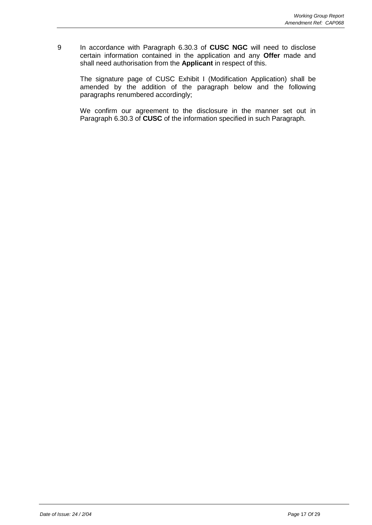9 In accordance with Paragraph 6.30.3 of **CUSC NGC** will need to disclose certain information contained in the application and any **Offer** made and shall need authorisation from the **Applicant** in respect of this.

The signature page of CUSC Exhibit I (Modification Application) shall be amended by the addition of the paragraph below and the following paragraphs renumbered accordingly;

We confirm our agreement to the disclosure in the manner set out in Paragraph 6.30.3 of **CUSC** of the information specified in such Paragraph.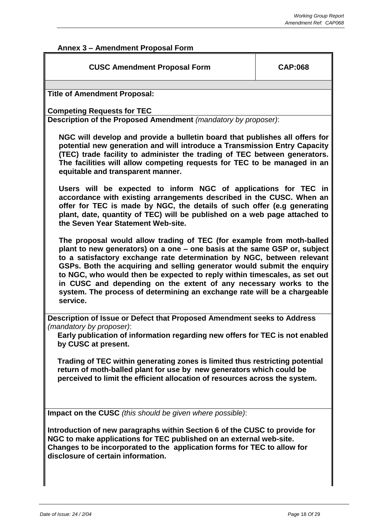# **Annex 3 – Amendment Proposal Form**

| <b>CUSC Amendment Proposal Form</b>                                                                                                                                                                                                                                                                                                                                                                                                                                                                                                               | <b>CAP:068</b> |
|---------------------------------------------------------------------------------------------------------------------------------------------------------------------------------------------------------------------------------------------------------------------------------------------------------------------------------------------------------------------------------------------------------------------------------------------------------------------------------------------------------------------------------------------------|----------------|
| <b>Title of Amendment Proposal:</b>                                                                                                                                                                                                                                                                                                                                                                                                                                                                                                               |                |
| <b>Competing Requests for TEC</b><br>Description of the Proposed Amendment (mandatory by proposer):                                                                                                                                                                                                                                                                                                                                                                                                                                               |                |
| NGC will develop and provide a bulletin board that publishes all offers for<br>potential new generation and will introduce a Transmission Entry Capacity<br>(TEC) trade facility to administer the trading of TEC between generators.<br>The facilities will allow competing requests for TEC to be managed in an<br>equitable and transparent manner.                                                                                                                                                                                            |                |
| Users will be expected to inform NGC of applications for TEC in<br>accordance with existing arrangements described in the CUSC. When an<br>offer for TEC is made by NGC, the details of such offer (e.g generating<br>plant, date, quantity of TEC) will be published on a web page attached to<br>the Seven Year Statement Web-site.                                                                                                                                                                                                             |                |
| The proposal would allow trading of TEC (for example from moth-balled<br>plant to new generators) on a one - one basis at the same GSP or, subject<br>to a satisfactory exchange rate determination by NGC, between relevant<br>GSPs. Both the acquiring and selling generator would submit the enquiry<br>to NGC, who would then be expected to reply within timescales, as set out<br>in CUSC and depending on the extent of any necessary works to the<br>system. The process of determining an exchange rate will be a chargeable<br>service. |                |
| Description of Issue or Defect that Proposed Amendment seeks to Address<br>(mandatory by proposer):<br>Early publication of information regarding new offers for TEC is not enabled<br>by CUSC at present.                                                                                                                                                                                                                                                                                                                                        |                |
| Trading of TEC within generating zones is limited thus restricting potential<br>return of moth-balled plant for use by new generators which could be<br>perceived to limit the efficient allocation of resources across the system.                                                                                                                                                                                                                                                                                                               |                |
| Impact on the CUSC (this should be given where possible):                                                                                                                                                                                                                                                                                                                                                                                                                                                                                         |                |
| Introduction of new paragraphs within Section 6 of the CUSC to provide for<br>NGC to make applications for TEC published on an external web-site.<br>Changes to be incorporated to the application forms for TEC to allow for<br>disclosure of certain information.                                                                                                                                                                                                                                                                               |                |
|                                                                                                                                                                                                                                                                                                                                                                                                                                                                                                                                                   |                |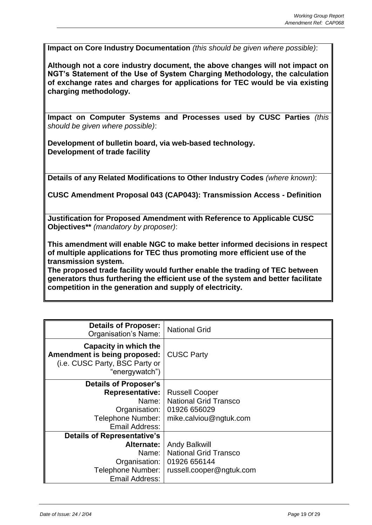**Impact on Core Industry Documentation** *(this should be given where possible)*:

**Although not a core industry document, the above changes will not impact on NGT's Statement of the Use of System Charging Methodology, the calculation of exchange rates and charges for applications for TEC would be via existing charging methodology.** 

**Impact on Computer Systems and Processes used by CUSC Parties** *(this should be given where possible)*:

**Development of bulletin board, via web-based technology. Development of trade facility**

**Details of any Related Modifications to Other Industry Codes** *(where known)*:

**CUSC Amendment Proposal 043 (CAP043): Transmission Access - Definition**

**Justification for Proposed Amendment with Reference to Applicable CUSC Objectives\*\*** *(mandatory by proposer)*:

**This amendment will enable NGC to make better informed decisions in respect of multiple applications for TEC thus promoting more efficient use of the transmission system.** 

**The proposed trade facility would further enable the trading of TEC between generators thus furthering the efficient use of the system and better facilitate competition in the generation and supply of electricity.**

| <b>Details of Proposer:</b><br><b>Organisation's Name:</b>                                                | <b>National Grid</b>         |
|-----------------------------------------------------------------------------------------------------------|------------------------------|
| Capacity in which the<br>Amendment is being proposed:<br>(i.e. CUSC Party, BSC Party or<br>"energywatch") | <b>CUSC Party</b>            |
| Details of Proposer's                                                                                     |                              |
| <b>Representative:</b>                                                                                    | <b>Russell Cooper</b>        |
| Name: I                                                                                                   | <b>National Grid Transco</b> |
| Organisation:                                                                                             | 01926 656029                 |
| Telephone Number:                                                                                         | mike.calviou@ngtuk.com       |
| Email Address:                                                                                            |                              |
| <b>Details of Representative's</b>                                                                        |                              |
| Alternate:                                                                                                | <b>Andy Balkwill</b>         |
| Name:                                                                                                     | <b>National Grid Transco</b> |
| Organisation:                                                                                             | 01926 656144                 |
| Telephone Number:                                                                                         | russell.cooper@ngtuk.com     |
| Email Address:                                                                                            |                              |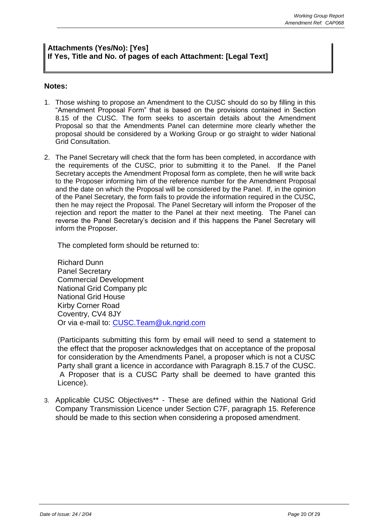## **Attachments (Yes/No): [Yes] If Yes, Title and No. of pages of each Attachment: [Legal Text]**

## **Notes:**

- 1. Those wishing to propose an Amendment to the CUSC should do so by filling in this "Amendment Proposal Form" that is based on the provisions contained in Section 8.15 of the CUSC. The form seeks to ascertain details about the Amendment Proposal so that the Amendments Panel can determine more clearly whether the proposal should be considered by a Working Group or go straight to wider National Grid Consultation.
- 2. The Panel Secretary will check that the form has been completed, in accordance with the requirements of the CUSC, prior to submitting it to the Panel. If the Panel Secretary accepts the Amendment Proposal form as complete, then he will write back to the Proposer informing him of the reference number for the Amendment Proposal and the date on which the Proposal will be considered by the Panel. If, in the opinion of the Panel Secretary, the form fails to provide the information required in the CUSC, then he may reject the Proposal. The Panel Secretary will inform the Proposer of the rejection and report the matter to the Panel at their next meeting. The Panel can reverse the Panel Secretary's decision and if this happens the Panel Secretary will inform the Proposer.

The completed form should be returned to:

Richard Dunn Panel Secretary Commercial Development National Grid Company plc National Grid House Kirby Corner Road Coventry, CV4 8JY Or via e-mail to: [CUSC.Team@uk.ngrid.com](mailto:CUSC.Team@uk.ngrid.com)

(Participants submitting this form by email will need to send a statement to the effect that the proposer acknowledges that on acceptance of the proposal for consideration by the Amendments Panel, a proposer which is not a CUSC Party shall grant a licence in accordance with Paragraph 8.15.7 of the CUSC. A Proposer that is a CUSC Party shall be deemed to have granted this Licence).

3. Applicable CUSC Objectives\*\* - These are defined within the National Grid Company Transmission Licence under Section C7F, paragraph 15. Reference should be made to this section when considering a proposed amendment.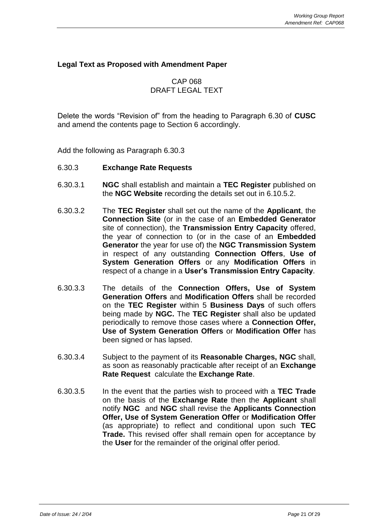## **Legal Text as Proposed with Amendment Paper**

## CAP 068 DRAFT LEGAL TEXT

Delete the words "Revision of" from the heading to Paragraph 6.30 of **CUSC**  and amend the contents page to Section 6 accordingly.

Add the following as Paragraph 6.30.3

## 6.30.3 **Exchange Rate Requests**

- 6.30.3.1 **NGC** shall establish and maintain a **TEC Register** published on the **NGC Website** recording the details set out in 6.10.5.2.
- 6.30.3.2 The **TEC Register** shall set out the name of the **Applicant**, the **Connection Site** (or in the case of an **Embedded Generator**  site of connection), the **Transmission Entry Capacity** offered, the year of connection to (or in the case of an **Embedded Generator** the year for use of) the **NGC Transmission System** in respect of any outstanding **Connection Offers**, **Use of System Generation Offers** or any **Modification Offers** in respect of a change in a **User's Transmission Entry Capacity**.
- 6.30.3.3 The details of the **Connection Offers, Use of System Generation Offers** and **Modification Offers** shall be recorded on the **TEC Register** within 5 **Business Days** of such offers being made by **NGC.** The **TEC Register** shall also be updated periodically to remove those cases where a **Connection Offer, Use of System Generation Offers** or **Modification Offer** has been signed or has lapsed.
- 6.30.3.4 Subject to the payment of its **Reasonable Charges, NGC** shall, as soon as reasonably practicable after receipt of an **Exchange Rate Request** calculate the **Exchange Rate**.
- 6.30.3.5 In the event that the parties wish to proceed with a **TEC Trade** on the basis of the **Exchange Rate** then the **Applicant** shall notify **NGC** and **NGC** shall revise the **Applicants Connection Offer, Use of System Generation Offer** or **Modification Offer**  (as appropriate) to reflect and conditional upon such **TEC Trade.** This revised offer shall remain open for acceptance by the **User** for the remainder of the original offer period.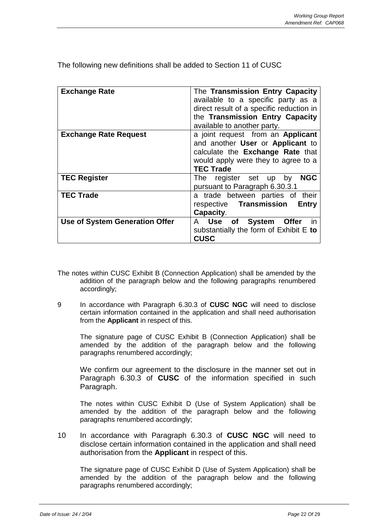| <b>Exchange Rate</b>                  | The Transmission Entry Capacity<br>available to a specific party as a<br>direct result of a specific reduction in<br>the Transmission Entry Capacity<br>available to another party. |
|---------------------------------------|-------------------------------------------------------------------------------------------------------------------------------------------------------------------------------------|
| <b>Exchange Rate Request</b>          | a joint request from an <b>Applicant</b><br>and another User or Applicant to<br>calculate the <b>Exchange Rate</b> that<br>would apply were they to agree to a<br><b>TEC Trade</b>  |
| <b>TEC Register</b>                   | <b>NGC</b><br>The register set up by<br>pursuant to Paragraph 6.30.3.1                                                                                                              |
| <b>TEC Trade</b>                      | a trade between parties of their<br>respective Transmission<br>Entry<br>Capacity.                                                                                                   |
| <b>Use of System Generation Offer</b> | in<br>Use of System<br>Offer<br>A<br>substantially the form of Exhibit E to<br><b>CUSC</b>                                                                                          |

The following new definitions shall be added to Section 11 of CUSC

- The notes within CUSC Exhibit B (Connection Application) shall be amended by the addition of the paragraph below and the following paragraphs renumbered accordingly;
- 9 In accordance with Paragraph 6.30.3 of **CUSC NGC** will need to disclose certain information contained in the application and shall need authorisation from the **Applicant** in respect of this.

The signature page of CUSC Exhibit B (Connection Application) shall be amended by the addition of the paragraph below and the following paragraphs renumbered accordingly;

We confirm our agreement to the disclosure in the manner set out in Paragraph 6.30.3 of **CUSC** of the information specified in such Paragraph.

The notes within CUSC Exhibit D (Use of System Application) shall be amended by the addition of the paragraph below and the following paragraphs renumbered accordingly;

10 In accordance with Paragraph 6.30.3 of **CUSC NGC** will need to disclose certain information contained in the application and shall need authorisation from the **Applicant** in respect of this.

The signature page of CUSC Exhibit D (Use of System Application) shall be amended by the addition of the paragraph below and the following paragraphs renumbered accordingly;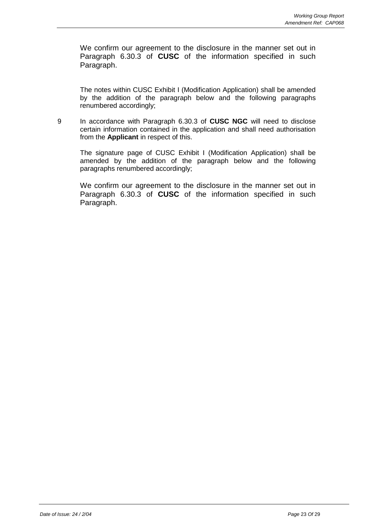We confirm our agreement to the disclosure in the manner set out in Paragraph 6.30.3 of **CUSC** of the information specified in such Paragraph.

The notes within CUSC Exhibit I (Modification Application) shall be amended by the addition of the paragraph below and the following paragraphs renumbered accordingly;

9 In accordance with Paragraph 6.30.3 of **CUSC NGC** will need to disclose certain information contained in the application and shall need authorisation from the **Applicant** in respect of this.

The signature page of CUSC Exhibit I (Modification Application) shall be amended by the addition of the paragraph below and the following paragraphs renumbered accordingly;

We confirm our agreement to the disclosure in the manner set out in Paragraph 6.30.3 of **CUSC** of the information specified in such Paragraph.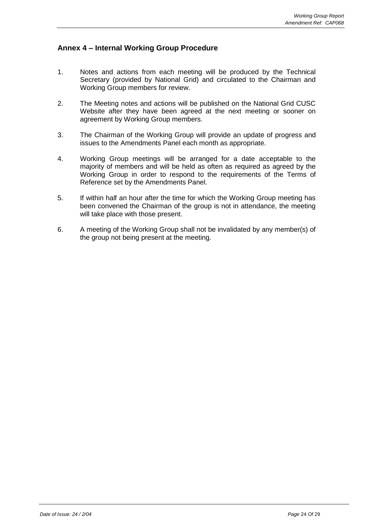## **Annex 4 – Internal Working Group Procedure**

- 1. Notes and actions from each meeting will be produced by the Technical Secretary (provided by National Grid) and circulated to the Chairman and Working Group members for review.
- 2. The Meeting notes and actions will be published on the National Grid CUSC Website after they have been agreed at the next meeting or sooner on agreement by Working Group members.
- 3. The Chairman of the Working Group will provide an update of progress and issues to the Amendments Panel each month as appropriate.
- 4. Working Group meetings will be arranged for a date acceptable to the majority of members and will be held as often as required as agreed by the Working Group in order to respond to the requirements of the Terms of Reference set by the Amendments Panel.
- 5. If within half an hour after the time for which the Working Group meeting has been convened the Chairman of the group is not in attendance, the meeting will take place with those present.
- 6. A meeting of the Working Group shall not be invalidated by any member(s) of the group not being present at the meeting.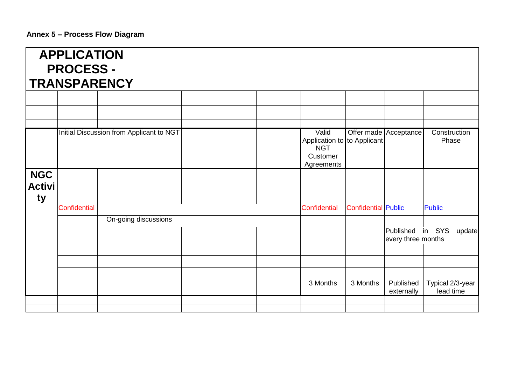|                                   | <b>APPLICATION</b><br><b>PROCESS -</b><br><b>TRANSPARENCY</b> |  |                                          |  |  |                                                                     |                            |                                        |                               |
|-----------------------------------|---------------------------------------------------------------|--|------------------------------------------|--|--|---------------------------------------------------------------------|----------------------------|----------------------------------------|-------------------------------|
|                                   |                                                               |  |                                          |  |  |                                                                     |                            |                                        |                               |
|                                   |                                                               |  |                                          |  |  |                                                                     |                            |                                        |                               |
|                                   |                                                               |  | Initial Discussion from Applicant to NGT |  |  | Valid                                                               |                            | Offer made Acceptance                  | Construction                  |
|                                   |                                                               |  |                                          |  |  | Application to to Applicant<br><b>NGT</b><br>Customer<br>Agreements |                            |                                        | Phase                         |
| <b>NGC</b><br><b>Activi</b><br>ty |                                                               |  |                                          |  |  |                                                                     |                            |                                        |                               |
|                                   | <b>Confidential</b>                                           |  |                                          |  |  | Confidential                                                        | <b>Confidential Public</b> |                                        | <b>Public</b>                 |
|                                   |                                                               |  | On-going discussions                     |  |  |                                                                     |                            |                                        |                               |
|                                   |                                                               |  |                                          |  |  |                                                                     |                            | Published in SYS<br>every three months | update                        |
|                                   |                                                               |  |                                          |  |  |                                                                     |                            |                                        |                               |
|                                   |                                                               |  |                                          |  |  |                                                                     |                            |                                        |                               |
|                                   |                                                               |  |                                          |  |  | 3 Months                                                            | 3 Months                   | Published<br>externally                | Typical 2/3-year<br>lead time |
|                                   |                                                               |  |                                          |  |  |                                                                     |                            |                                        |                               |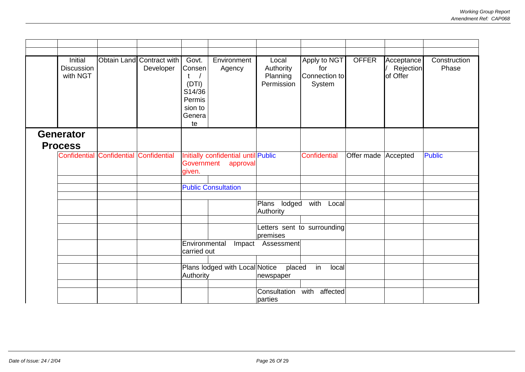| Initial<br><b>Discussion</b><br>with NGT | Obtain Land Contract with<br>Developer | Govt.<br>Consen<br>(DTI)<br>S14/36<br>Permis<br>sion to<br>Genera<br>te | Environment<br>Agency      | Local<br>Authority<br>Planning<br>Permission | Apply to NGT<br>for<br>Connection to<br>System | <b>OFFER</b>        | Acceptance<br>Rejection<br>of Offer | Construction<br>Phase |
|------------------------------------------|----------------------------------------|-------------------------------------------------------------------------|----------------------------|----------------------------------------------|------------------------------------------------|---------------------|-------------------------------------|-----------------------|
| <b>Generator</b>                         |                                        |                                                                         |                            |                                              |                                                |                     |                                     |                       |
| <b>Process</b>                           |                                        |                                                                         |                            |                                              |                                                |                     |                                     |                       |
| <b>Confidential Confidential</b>         | Confidential                           | Initially confidential until Public<br>Government<br>approval<br>given. |                            |                                              | Confidential                                   | Offer made Accepted |                                     | <b>Public</b>         |
|                                          |                                        |                                                                         |                            |                                              |                                                |                     |                                     |                       |
|                                          |                                        |                                                                         | <b>Public Consultation</b> |                                              |                                                |                     |                                     |                       |
|                                          |                                        |                                                                         |                            | lodged<br>Plans<br>Authority                 | with Local                                     |                     |                                     |                       |
|                                          |                                        |                                                                         |                            | premises                                     | Letters sent to surrounding                    |                     |                                     |                       |
|                                          |                                        | Environmental<br>carried out                                            |                            | Impact Assessment                            |                                                |                     |                                     |                       |
|                                          |                                        | Plans lodged with Local Notice                                          |                            |                                              | in<br>local                                    |                     |                                     |                       |
|                                          |                                        | Authority                                                               |                            | placed<br>newspaper                          |                                                |                     |                                     |                       |
|                                          |                                        |                                                                         |                            |                                              |                                                |                     |                                     |                       |
|                                          |                                        |                                                                         |                            | Consultation<br>parties                      | with affected                                  |                     |                                     |                       |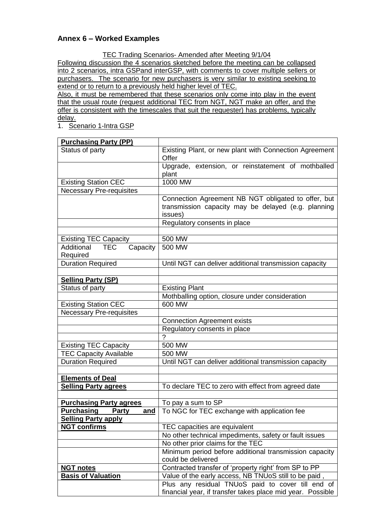## **Annex 6 – Worked Examples**

TEC Trading Scenarios- Amended after Meeting 9/1/04

Following discussion the 4 scenarios sketched before the meeting can be collapsed into 2 scenarios, intra GSPand interGSP, with comments to cover multiple sellers or purchasers. The scenario for new purchasers is very similar to existing seeking to extend or to return to a previously held higher level of TEC.

Also, it must be remembered that these scenarios only come into play in the event that the usual route (request additional TEC from NGT, NGT make an offer, and the offer is consistent with the timescales that suit the requester) has problems, typically delay.

1. Scenario 1-Intra GSP

| <b>Purchasing Party (PP)</b>                     |                                                                                                                                                       |
|--------------------------------------------------|-------------------------------------------------------------------------------------------------------------------------------------------------------|
| Status of party                                  | Existing Plant, or new plant with Connection Agreement<br>Offer                                                                                       |
|                                                  | Upgrade, extension, or reinstatement of mothballed<br>plant                                                                                           |
| <b>Existing Station CEC</b>                      | 1000 MW                                                                                                                                               |
| <b>Necessary Pre-requisites</b>                  |                                                                                                                                                       |
|                                                  | Connection Agreement NB NGT obligated to offer, but<br>transmission capacity may be delayed (e.g. planning<br>issues)<br>Regulatory consents in place |
|                                                  |                                                                                                                                                       |
| <b>Existing TEC Capacity</b>                     | 500 MW                                                                                                                                                |
| Additional<br><b>TEC</b><br>Capacity<br>Required | 500 MW                                                                                                                                                |
| <b>Duration Required</b>                         | Until NGT can deliver additional transmission capacity                                                                                                |
| <b>Selling Party (SP)</b>                        |                                                                                                                                                       |
| Status of party                                  | <b>Existing Plant</b>                                                                                                                                 |
|                                                  | Mothballing option, closure under consideration                                                                                                       |
| <b>Existing Station CEC</b>                      | 600 MW                                                                                                                                                |
| <b>Necessary Pre-requisites</b>                  |                                                                                                                                                       |
|                                                  | <b>Connection Agreement exists</b>                                                                                                                    |
|                                                  | Regulatory consents in place                                                                                                                          |
|                                                  |                                                                                                                                                       |
| <b>Existing TEC Capacity</b>                     | 500 MW                                                                                                                                                |
| <b>TEC Capacity Available</b>                    | 500 MW                                                                                                                                                |
| <b>Duration Required</b>                         | Until NGT can deliver additional transmission capacity                                                                                                |
|                                                  |                                                                                                                                                       |
| <b>Elements of Deal</b>                          |                                                                                                                                                       |
| <b>Selling Party agrees</b>                      | To declare TEC to zero with effect from agreed date                                                                                                   |
|                                                  |                                                                                                                                                       |
| <b>Purchasing Party agrees</b>                   | To pay a sum to SP                                                                                                                                    |
| <u>Purchasing ___</u><br>and<br><b>Party</b>     | To NGC for TEC exchange with application fee                                                                                                          |
| <b>Selling Party apply</b>                       |                                                                                                                                                       |
| <b>NGT confirms</b>                              | TEC capacities are equivalent                                                                                                                         |
|                                                  | No other technical impediments, safety or fault issues<br>No other prior claims for the TEC                                                           |
|                                                  | Minimum period before additional transmission capacity                                                                                                |
|                                                  | could be delivered                                                                                                                                    |
| <b>NGT notes</b>                                 | Contracted transfer of 'property right' from SP to PP                                                                                                 |
| <b>Basis of Valuation</b>                        | Value of the early access, NB TNUoS still to be paid,                                                                                                 |
|                                                  | Plus any residual TNUoS paid to cover till end of                                                                                                     |
|                                                  | financial year, if transfer takes place mid year. Possible                                                                                            |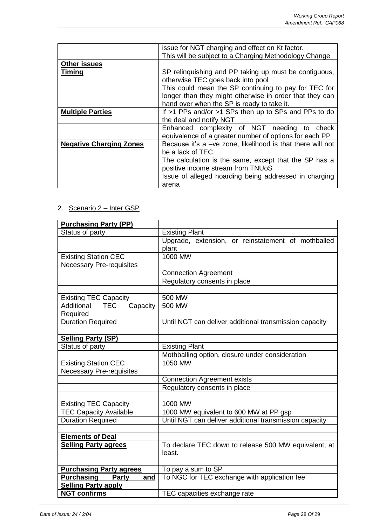|                                | issue for NGT charging and effect on Kt factor.            |
|--------------------------------|------------------------------------------------------------|
|                                | This will be subject to a Charging Methodology Change      |
| <b>Other issues</b>            |                                                            |
| <b>Timing</b>                  | SP relinquishing and PP taking up must be contiguous,      |
|                                | otherwise TEC goes back into pool                          |
|                                | This could mean the SP continuing to pay for TEC for       |
|                                | longer than they might otherwise in order that they can    |
|                                | hand over when the SP is ready to take it.                 |
| <b>Multiple Parties</b>        | If >1 PPs and/or >1 SPs then up to SPs and PPs to do       |
|                                | the deal and notify NGT                                    |
|                                | Enhanced complexity of NGT needing to check                |
|                                | equivalence of a greater number of options for each PP     |
| <b>Negative Charging Zones</b> | Because it's a -ve zone, likelihood is that there will not |
|                                | be a lack of TEC                                           |
|                                | The calculation is the same, except that the SP has a      |
|                                | positive income stream from TNUoS                          |
|                                | Issue of alleged hoarding being addressed in charging      |
|                                | arena                                                      |

# 2. Scenario 2 – Inter GSP

| <b>Purchasing Party (PP)</b>                |                                                        |
|---------------------------------------------|--------------------------------------------------------|
| Status of party                             | <b>Existing Plant</b>                                  |
|                                             | Upgrade, extension, or reinstatement of mothballed     |
|                                             | plant                                                  |
| <b>Existing Station CEC</b>                 | 1000 MW                                                |
| <b>Necessary Pre-requisites</b>             |                                                        |
|                                             | <b>Connection Agreement</b>                            |
|                                             | Regulatory consents in place                           |
|                                             |                                                        |
| <b>Existing TEC Capacity</b>                | 500 MW                                                 |
| <b>Additional</b><br><b>TEC</b><br>Capacity | 500 MW                                                 |
| Required                                    |                                                        |
| <b>Duration Required</b>                    | Until NGT can deliver additional transmission capacity |
|                                             |                                                        |
| <b>Selling Party (SP)</b>                   |                                                        |
| Status of party                             | <b>Existing Plant</b>                                  |
|                                             | Mothballing option, closure under consideration        |
| <b>Existing Station CEC</b>                 | 1050 MW                                                |
| <b>Necessary Pre-requisites</b>             |                                                        |
|                                             | <b>Connection Agreement exists</b>                     |
|                                             | Regulatory consents in place                           |
|                                             |                                                        |
| <b>Existing TEC Capacity</b>                | 1000 MW                                                |
| <b>TEC Capacity Available</b>               | 1000 MW equivalent to 600 MW at PP gsp                 |
| <b>Duration Required</b>                    | Until NGT can deliver additional transmission capacity |
|                                             |                                                        |
| <b>Elements of Deal</b>                     |                                                        |
| <b>Selling Party agrees</b>                 | To declare TEC down to release 500 MW equivalent, at   |
|                                             | least.                                                 |
|                                             |                                                        |
| <b>Purchasing Party agrees</b>              | To pay a sum to SP                                     |
| <b>Purchasing</b><br>Party<br><u>and</u>    | To NGC for TEC exchange with application fee           |
| <b>Selling Party apply</b>                  |                                                        |
| <b>NGT confirms</b>                         | TEC capacities exchange rate                           |